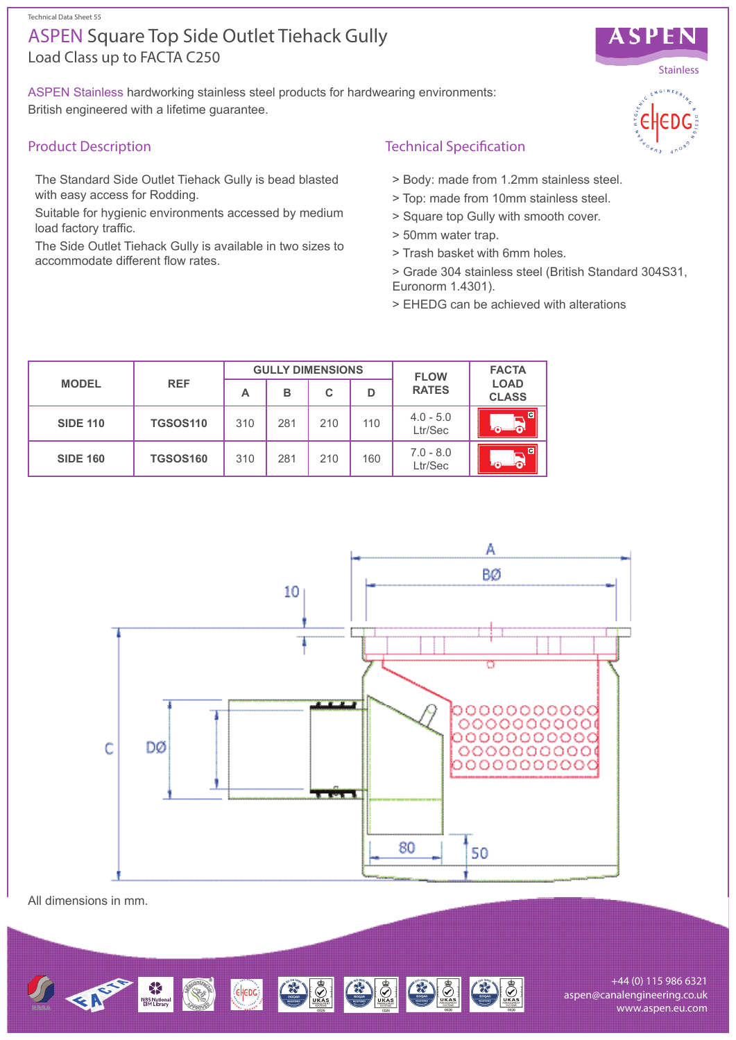Technical Data Sheet 55

# Load Class up to FACTA C250 ASPEN Square Top Side Outlet Tiehack Gully

ASPEN Stainless hardworking stainless steel products for hardwearing environments: British engineered with a lifetime guarantee.

## Product Description

The Standard Side Outlet Tiehack Gully is bead blasted with easy access for Rodding.

Suitable for hygienic environments accessed by medium load factory traffic.

The Side Outlet Tiehack Gully is available in two sizes to accommodate different flow rates.

## Technical Specification

- > Body: made from 1.2mm stainless steel.
- > Top: made from 10mm stainless steel.
- > Square top Gully with smooth cover.
- > 50mm water trap.
- > Trash basket with 6mm holes.
- > Grade 304 stainless steel (British Standard 304S31, Euronorm 1.4301).
- > EHEDG can be achieved with alterations

| <b>MODEL</b>    | <b>REF</b>      | <b>GULLY DIMENSIONS</b> |     |     |     | <b>FLOW</b>            | <b>FACTA</b>                |
|-----------------|-----------------|-------------------------|-----|-----|-----|------------------------|-----------------------------|
|                 |                 | Α                       | в   | C   | D   | <b>RATES</b>           | <b>LOAD</b><br><b>CLASS</b> |
| <b>SIDE 110</b> | <b>TGSOS110</b> | 310                     | 281 | 210 | 110 | $4.0 - 5.0$<br>Ltr/Sec | $\overline{c}$<br>ക         |
| <b>SIDE 160</b> | <b>TGSOS160</b> | 310                     | 281 | 210 | 160 | $7.0 - 8.0$<br>Ltr/Sec | $\overline{a}$<br>പ         |



All dimensions in mm.



+44 (0) 115 986 6321 aspen@canalengineering.co.uk www.aspen.eu.com



ASPEN